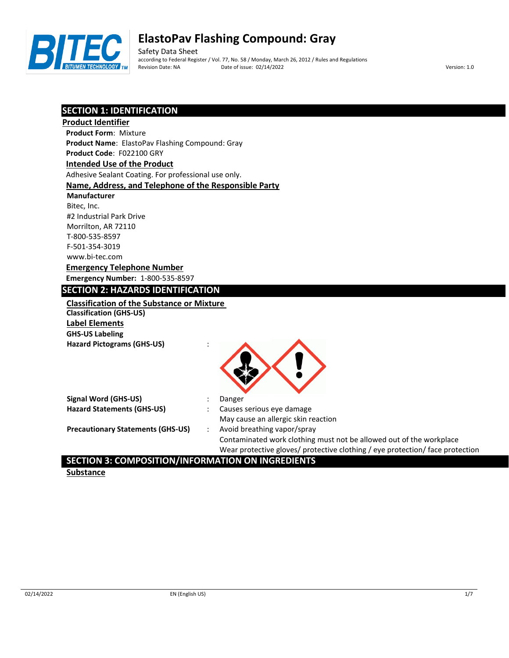

Safety Data Sheet according to Federal Register / Vol. 77, No. 58 / Monday, March 26, 2012 / Rules and Regulations Revision Date: NA Date of issue: 02/14/2022 Version: 1.0

# **SECTION 1: IDENTIFICATION**

| <b>Product Identifier</b>                             |                                                                               |
|-------------------------------------------------------|-------------------------------------------------------------------------------|
| <b>Product Form: Mixture</b>                          |                                                                               |
| Product Name: ElastoPav Flashing Compound: Gray       |                                                                               |
| Product Code: F022100 GRY                             |                                                                               |
| <b>Intended Use of the Product</b>                    |                                                                               |
| Adhesive Sealant Coating. For professional use only.  |                                                                               |
| Name, Address, and Telephone of the Responsible Party |                                                                               |
| <b>Manufacturer</b>                                   |                                                                               |
| Bitec, Inc.                                           |                                                                               |
| #2 Industrial Park Drive                              |                                                                               |
| Morrilton, AR 72110                                   |                                                                               |
| T-800-535-8597                                        |                                                                               |
| F-501-354-3019                                        |                                                                               |
| www.bi-tec.com                                        |                                                                               |
| <b>Emergency Telephone Number</b>                     |                                                                               |
| <b>Emergency Number: 1-800-535-8597</b>               |                                                                               |
| <b>SECTION 2: HAZARDS IDENTIFICATION</b>              |                                                                               |
| <b>Classification of the Substance or Mixture</b>     |                                                                               |
| <b>Classification (GHS-US)</b>                        |                                                                               |
| <b>Label Elements</b>                                 |                                                                               |
| <b>GHS-US Labeling</b>                                |                                                                               |
| <b>Hazard Pictograms (GHS-US)</b>                     |                                                                               |
|                                                       |                                                                               |
|                                                       |                                                                               |
|                                                       |                                                                               |
|                                                       |                                                                               |
| <b>Signal Word (GHS-US)</b>                           | Danger                                                                        |
| <b>Hazard Statements (GHS-US)</b>                     | Causes serious eye damage                                                     |
|                                                       | May cause an allergic skin reaction                                           |
| <b>Precautionary Statements (GHS-US)</b>              | Avoid breathing vapor/spray                                                   |
|                                                       | Contaminated work clothing must not be allowed out of the workplace           |
|                                                       | Wear protective gloves/ protective clothing / eye protection/ face protection |

# **SECTION 3: COMPOSITION/INFORMATION ON INGREDIENTS**

**Substance**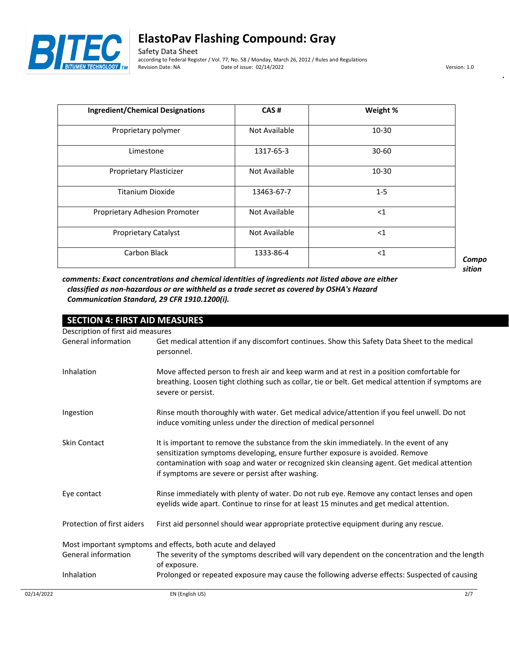

Safety Data Sheet according to Federal Register / Vol. 77, No. 58 / Monday, March 26, 2012 / Rules and Regulations Date of issue: 02/14/2022 Version: 1.0

| <b>Ingredient/Chemical Designations</b> | CAS#                 | Weight %  |
|-----------------------------------------|----------------------|-----------|
| Proprietary polymer                     | <b>Not Available</b> | $10 - 30$ |
| Limestone                               | 1317-65-3            | $30 - 60$ |
| Proprietary Plasticizer                 | Not Available        | $10 - 30$ |
| Titanium Dioxide                        | 13463-67-7           | $1 - 5$   |
| Proprietary Adhesion Promoter           | Not Available        | $<$ 1     |
| <b>Proprietary Catalyst</b>             | Not Available        | $<$ 1     |
| Carbon Black                            | 1333-86-4            | $<$ 1     |

*Compo sition* 

*comments: Exact concentrations and chemical identities of ingredients not listed above are either classified as non-hazardous or are withheld as a trade secret as covered by OSHA's Hazard Communication Standard, 29 CFR 1910.1200(i).*

| <b>SECTION 4: FIRST AID MEASURES</b> |                                                                                                                                                                                                                                                                                                                            |
|--------------------------------------|----------------------------------------------------------------------------------------------------------------------------------------------------------------------------------------------------------------------------------------------------------------------------------------------------------------------------|
| Description of first aid measures    |                                                                                                                                                                                                                                                                                                                            |
| General information                  | Get medical attention if any discomfort continues. Show this Safety Data Sheet to the medical<br>personnel.                                                                                                                                                                                                                |
| Inhalation                           | Move affected person to fresh air and keep warm and at rest in a position comfortable for<br>breathing. Loosen tight clothing such as collar, tie or belt. Get medical attention if symptoms are<br>severe or persist.                                                                                                     |
| Ingestion                            | Rinse mouth thoroughly with water. Get medical advice/attention if you feel unwell. Do not<br>induce vomiting unless under the direction of medical personnel                                                                                                                                                              |
| <b>Skin Contact</b>                  | It is important to remove the substance from the skin immediately. In the event of any<br>sensitization symptoms developing, ensure further exposure is avoided. Remove<br>contamination with soap and water or recognized skin cleansing agent. Get medical attention<br>if symptoms are severe or persist after washing. |
| Eye contact                          | Rinse immediately with plenty of water. Do not rub eye. Remove any contact lenses and open<br>eyelids wide apart. Continue to rinse for at least 15 minutes and get medical attention.                                                                                                                                     |
| Protection of first aiders           | First aid personnel should wear appropriate protective equipment during any rescue.                                                                                                                                                                                                                                        |
|                                      | Most important symptoms and effects, both acute and delayed                                                                                                                                                                                                                                                                |
| General information                  | The severity of the symptoms described will vary dependent on the concentration and the length<br>of exposure.                                                                                                                                                                                                             |
| Inhalation                           | Prolonged or repeated exposure may cause the following adverse effects: Suspected of causing                                                                                                                                                                                                                               |
| 02/14/2022                           | 2/7<br>EN (English US)                                                                                                                                                                                                                                                                                                     |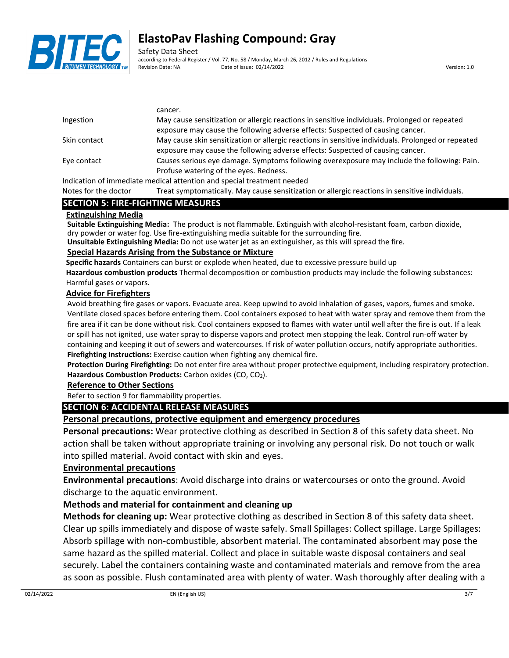

Safety Data Sheet according to Federal Register / Vol. 77, No. 58 / Monday, March 26, 2012 / Rules and Regulations Revision Date: NA Date of issue: 02/14/2022 Version: 1.0

|              | cancer.                                                                                                                                                                                                                           |
|--------------|-----------------------------------------------------------------------------------------------------------------------------------------------------------------------------------------------------------------------------------|
| Ingestion    | May cause sensitization or allergic reactions in sensitive individuals. Prolonged or repeated                                                                                                                                     |
|              | exposure may cause the following adverse effects: Suspected of causing cancer.                                                                                                                                                    |
| Skin contact | May cause skin sensitization or allergic reactions in sensitive individuals. Prolonged or repeated<br>exposure may cause the following adverse effects: Suspected of causing cancer.                                              |
| Eye contact  | Causes serious eye damage. Symptoms following overexposure may include the following: Pain.                                                                                                                                       |
|              | Profuse watering of the eyes. Redness.                                                                                                                                                                                            |
|              | $\mathbf{a}$ , and a set of the set of the set of the set of the set of the set of the set of the set of the set of the set of the set of the set of the set of the set of the set of the set of the set of the set of the set of |

Indication of immediate medical attention and special treatment needed

Notes for the doctor Treat symptomatically. May cause sensitization or allergic reactions in sensitive individuals.

# **SECTION 5: FIRE-FIGHTING MEASURES**

## **Extinguishing Media**

**Suitable Extinguishing Media:** The product is not flammable. Extinguish with alcohol-resistant foam, carbon dioxide, dry powder or water fog. Use fire-extinguishing media suitable for the surrounding fire.

**Unsuitable Extinguishing Media:** Do not use water jet as an extinguisher, as this will spread the fire.

## **Special Hazards Arising from the Substance or Mixture**

**Specific hazards** Containers can burst or explode when heated, due to excessive pressure build up

**Hazardous combustion products** Thermal decomposition or combustion products may include the following substances: Harmful gases or vapors.

## **Advice for Firefighters**

Avoid breathing fire gases or vapors. Evacuate area. Keep upwind to avoid inhalation of gases, vapors, fumes and smoke. Ventilate closed spaces before entering them. Cool containers exposed to heat with water spray and remove them from the fire area if it can be done without risk. Cool containers exposed to flames with water until well after the fire is out. If a leak or spill has not ignited, use water spray to disperse vapors and protect men stopping the leak. Control run-off water by containing and keeping it out of sewers and watercourses. If risk of water pollution occurs, notify appropriate authorities. **Firefighting Instructions:** Exercise caution when fighting any chemical fire.

**Protection During Firefighting:** Do not enter fire area without proper protective equipment, including respiratory protection. **Hazardous Combustion Products:** Carbon oxides (CO, CO2).

# **Reference to Other Sections**

Refer to section 9 for flammability properties.

# **SECTION 6: ACCIDENTAL RELEASE MEASURES**

# **Personal precautions, protective equipment and emergency procedures**

**Personal precautions:** Wear protective clothing as described in Section 8 of this safety data sheet. No action shall be taken without appropriate training or involving any personal risk. Do not touch or walk into spilled material. Avoid contact with skin and eyes.

# **Environmental precautions**

**Environmental precautions**: Avoid discharge into drains or watercourses or onto the ground. Avoid discharge to the aquatic environment.

# **Methods and material for containment and cleaning up**

**Methods for cleaning up:** Wear protective clothing as described in Section 8 of this safety data sheet. Clear up spills immediately and dispose of waste safely. Small Spillages: Collect spillage. Large Spillages: Absorb spillage with non-combustible, absorbent material. The contaminated absorbent may pose the same hazard as the spilled material. Collect and place in suitable waste disposal containers and seal securely. Label the containers containing waste and contaminated materials and remove from the area as soon as possible. Flush contaminated area with plenty of water. Wash thoroughly after dealing with a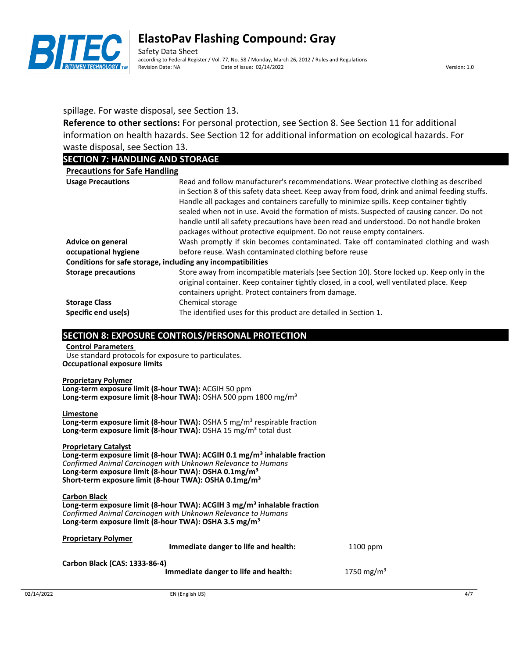

Safety Data Sheet according to Federal Register / Vol. 77, No. 58 / Monday, March 26, 2012 / Rules and Regulations Revision Date: NA Date of issue: 02/14/2022 Version: 1.0

# spillage. For waste disposal, see Section 13.

**Reference to other sections:** For personal protection, see Section 8. See Section 11 for additional information on health hazards. See Section 12 for additional information on ecological hazards. For waste disposal, see Section 13.

# **SECTION 7: HANDLING AND STORAGE**

| <b>Precautions for Safe Handling</b>                         |                                                                                                                                                                                                                                                                                                                                                                                                                                                                                                                                                    |
|--------------------------------------------------------------|----------------------------------------------------------------------------------------------------------------------------------------------------------------------------------------------------------------------------------------------------------------------------------------------------------------------------------------------------------------------------------------------------------------------------------------------------------------------------------------------------------------------------------------------------|
| <b>Usage Precautions</b>                                     | Read and follow manufacturer's recommendations. Wear protective clothing as described<br>in Section 8 of this safety data sheet. Keep away from food, drink and animal feeding stuffs.<br>Handle all packages and containers carefully to minimize spills. Keep container tightly<br>sealed when not in use. Avoid the formation of mists. Suspected of causing cancer. Do not<br>handle until all safety precautions have been read and understood. Do not handle broken<br>packages without protective equipment. Do not reuse empty containers. |
| Advice on general                                            | Wash promptly if skin becomes contaminated. Take off contaminated clothing and wash                                                                                                                                                                                                                                                                                                                                                                                                                                                                |
| occupational hygiene                                         | before reuse. Wash contaminated clothing before reuse                                                                                                                                                                                                                                                                                                                                                                                                                                                                                              |
| Conditions for safe storage, including any incompatibilities |                                                                                                                                                                                                                                                                                                                                                                                                                                                                                                                                                    |
| <b>Storage precautions</b>                                   | Store away from incompatible materials (see Section 10). Store locked up. Keep only in the<br>original container. Keep container tightly closed, in a cool, well ventilated place. Keep<br>containers upright. Protect containers from damage.                                                                                                                                                                                                                                                                                                     |
| <b>Storage Class</b><br>Specific end use(s)                  | Chemical storage<br>The identified uses for this product are detailed in Section 1.                                                                                                                                                                                                                                                                                                                                                                                                                                                                |

# **SECTION 8: EXPOSURE CONTROLS/PERSONAL PROTECTION**

### **Control Parameters**  Use standard protocols for exposure to particulates.

**Occupational exposure limits**

### **Proprietary Polymer**

**Long-term exposure limit (8-hour TWA):** ACGIH 50 ppm **Long-term exposure limit (8-hour TWA):** OSHA 500 ppm 1800 mg/m³

### **Limestone**

Long-term exposure limit (8-hour TWA): OSHA 5 mg/m<sup>3</sup> respirable fraction Long-term exposure limit (8-hour TWA): OSHA 15 mg/m<sup>3</sup> total dust

## **Proprietary Catalyst**

**Long-term exposure limit (8-hour TWA): ACGIH 0.1 mg/m³ inhalable fraction** *Confirmed Animal Carcinogen with Unknown Relevance to Humans* **Long-term exposure limit (8-hour TWA): OSHA 0.1mg/m³ Short-term exposure limit (8-hour TWA): OSHA 0.1mg/m³**

#### **Carbon Black Long-term exposure limit (8-hour TWA): ACGIH 3 mg/m³ inhalable fraction** *Confirmed Animal Carcinogen with Unknown Relevance to Humans* **Long-term exposure limit (8-hour TWA): OSHA 3.5 mg/m³**

**Proprietary Polymer Immediate danger to life and health:** 1100 ppm **Carbon Black (CAS: 1333-86-4) Immediate danger to life and health:** 1750 mg/m<sup>3</sup>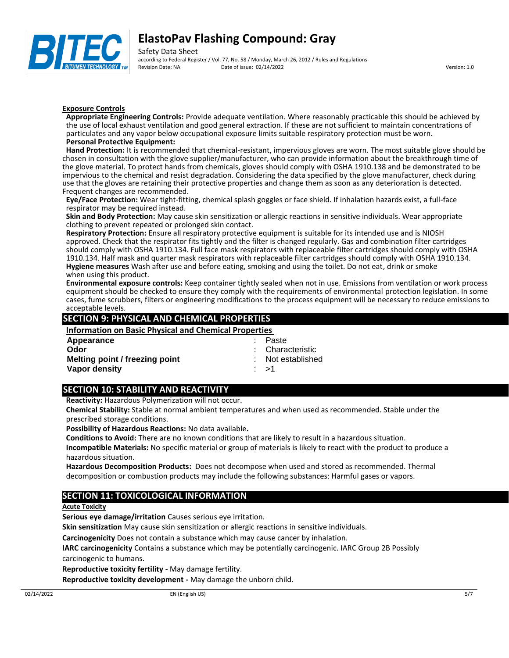

Safety Data Sheet according to Federal Register / Vol. 77, No. 58 / Monday, March 26, 2012 / Rules and Regulations Revision Date: NA Date of issue: 02/14/2022 Version: 1.0

### **Exposure Controls**

**Appropriate Engineering Controls:** Provide adequate ventilation. Where reasonably practicable this should be achieved by the use of local exhaust ventilation and good general extraction. If these are not sufficient to maintain concentrations of particulates and any vapor below occupational exposure limits suitable respiratory protection must be worn. **Personal Protective Equipment:**

**Hand Protection:** It is recommended that chemical-resistant, impervious gloves are worn. The most suitable glove should be chosen in consultation with the glove supplier/manufacturer, who can provide information about the breakthrough time of the glove material. To protect hands from chemicals, gloves should comply with OSHA 1910.138 and be demonstrated to be impervious to the chemical and resist degradation. Considering the data specified by the glove manufacturer, check during use that the gloves are retaining their protective properties and change them as soon as any deterioration is detected. Frequent changes are recommended.

**Eye/Face Protection:** Wear tight-fitting, chemical splash goggles or face shield. If inhalation hazards exist, a full-face respirator may be required instead.

**Skin and Body Protection:** May cause skin sensitization or allergic reactions in sensitive individuals. Wear appropriate clothing to prevent repeated or prolonged skin contact.

**Respiratory Protection:** Ensure all respiratory protective equipment is suitable for its intended use and is NIOSH approved. Check that the respirator fits tightly and the filter is changed regularly. Gas and combination filter cartridges should comply with OSHA 1910.134. Full face mask respirators with replaceable filter cartridges should comply with OSHA 1910.134. Half mask and quarter mask respirators with replaceable filter cartridges should comply with OSHA 1910.134. **Hygiene measures** Wash after use and before eating, smoking and using the toilet. Do not eat, drink or smoke when using this product.

**Environmental exposure controls:** Keep container tightly sealed when not in use. Emissions from ventilation or work process equipment should be checked to ensure they comply with the requirements of environmental protection legislation. In some cases, fume scrubbers, filters or engineering modifications to the process equipment will be necessary to reduce emissions to acceptable levels.

## **SECTION 9: PHYSICAL AND CHEMICAL PROPERTIES**

**Information on Basic Physical and Chemical Properties** 

| Appearance                     | : Paste           |
|--------------------------------|-------------------|
| Odor                           | : Characteristic  |
| Melting point / freezing point | : Not established |
| Vapor density                  | ∴ >1              |

# **SECTION 10: STABILITY AND REACTIVITY**

**Reactivity:** Hazardous Polymerization will not occur.

**Chemical Stability:** Stable at normal ambient temperatures and when used as recommended. Stable under the prescribed storage conditions.

**Possibility of Hazardous Reactions:** No data available**.**

**Conditions to Avoid:** There are no known conditions that are likely to result in a hazardous situation.

**Incompatible Materials:** No specific material or group of materials is likely to react with the product to produce a hazardous situation.

**Hazardous Decomposition Products:** Does not decompose when used and stored as recommended. Thermal decomposition or combustion products may include the following substances: Harmful gases or vapors.

# **SECTION 11: TOXICOLOGICAL INFORMATION**

### **Acute Toxicity**

**Serious eye damage/irritation** Causes serious eye irritation.

**Skin sensitization** May cause skin sensitization or allergic reactions in sensitive individuals.

**Carcinogenicity** Does not contain a substance which may cause cancer by inhalation.

**IARC carcinogenicity** Contains a substance which may be potentially carcinogenic. IARC Group 2B Possibly carcinogenic to humans.

**Reproductive toxicity fertility -** May damage fertility.

**Reproductive toxicity development -** May damage the unborn child.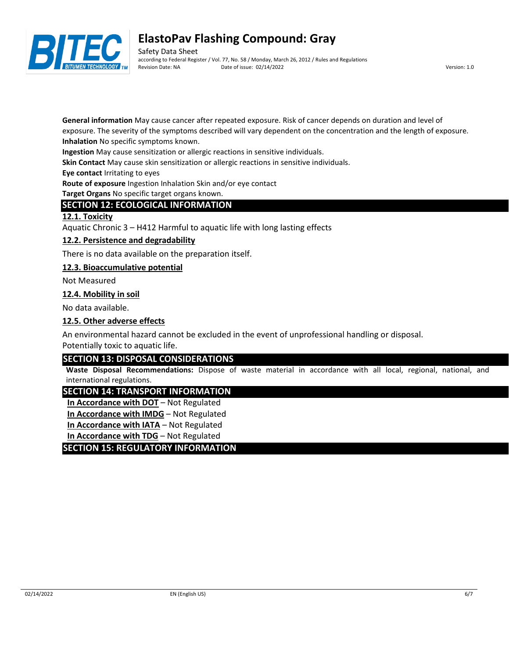

Safety Data Sheet according to Federal Register / Vol. 77, No. 58 / Monday, March 26, 2012 / Rules and Regulations Revision Date: NA Date of issue: 02/14/2022 Version: 1.0

**General information** May cause cancer after repeated exposure. Risk of cancer depends on duration and level of exposure. The severity of the symptoms described will vary dependent on the concentration and the length of exposure.

**Inhalation** No specific symptoms known.

**Ingestion** May cause sensitization or allergic reactions in sensitive individuals.

**Skin Contact** May cause skin sensitization or allergic reactions in sensitive individuals.

**Eye contact** Irritating to eyes

**Route of exposure** Ingestion Inhalation Skin and/or eye contact

**Target Organs** No specific target organs known.

# **SECTION 12: ECOLOGICAL INFORMATION**

## **12.1. Toxicity**

Aquatic Chronic 3 – H412 Harmful to aquatic life with long lasting effects

# **12.2. Persistence and degradability**

There is no data available on the preparation itself.

## **12.3. Bioaccumulative potential**

Not Measured

## **12.4. Mobility in soil**

No data available.

## **12.5. Other adverse effects**

An environmental hazard cannot be excluded in the event of unprofessional handling or disposal.

Potentially toxic to aquatic life.

# **SECTION 13: DISPOSAL CONSIDERATIONS**

**Waste Disposal Recommendations:** Dispose of waste material in accordance with all local, regional, national, and international regulations.

# **SECTION 14: TRANSPORT INFORMATION**

**In Accordance with DOT** – Not Regulated

**In Accordance with IMDG** – Not Regulated

**In Accordance with IATA** – Not Regulated

**In Accordance with TDG** – Not Regulated

# **SECTION 15: REGULATORY INFORMATION**